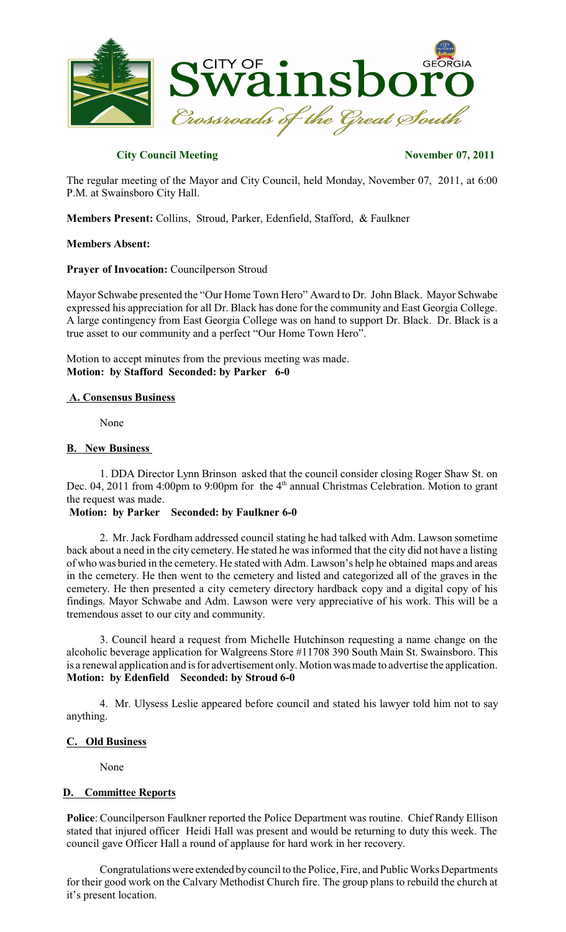

# **City Council Meeting November 07, 2011**

The regular meeting of the Mayor and City Council, held Monday, November 07, 2011, at 6:00 P.M. at Swainsboro City Hall.

**Members Present:** Collins, Stroud, Parker, Edenfield, Stafford, & Faulkner

#### **Members Absent:**

#### **Prayer of Invocation:** Councilperson Stroud

Mayor Schwabe presented the "Our Home Town Hero" Award to Dr. John Black. Mayor Schwabe expressed his appreciation for all Dr. Black has done for the community and East Georgia College. A large contingency from East Georgia College was on hand to support Dr. Black. Dr. Black is a true asset to our community and a perfect "Our Home Town Hero".

Motion to accept minutes from the previous meeting was made. **Motion: by Stafford Seconded: by Parker 6-0**

## **A. Consensus Business**

None

## **B. New Business**

1. DDA Director Lynn Brinson asked that the council consider closing Roger Shaw St. on Dec. 04, 2011 from 4:00pm to 9:00pm for the 4<sup>th</sup> annual Christmas Celebration. Motion to grant the request was made.

### **Motion: by Parker Seconded: by Faulkner 6-0**

2. Mr. Jack Fordham addressed council stating he had talked with Adm. Lawson sometime back about a need in the city cemetery. He stated he was informed that the city did not have a listing of who was buried in the cemetery. He stated with Adm. Lawson's help he obtained maps and areas in the cemetery. He then went to the cemetery and listed and categorized all of the graves in the cemetery. He then presented a city cemetery directory hardback copy and a digital copy of his findings. Mayor Schwabe and Adm. Lawson were very appreciative of his work. This will be a tremendous asset to our city and community.

3. Council heard a request from Michelle Hutchinson requesting a name change on the alcoholic beverage application for Walgreens Store #11708 390 South Main St. Swainsboro. This is a renewal application and is for advertisement only. Motion wasmade to advertise the application. **Motion: by Edenfield Seconded: by Stroud 6-0**

4. Mr. Ulysess Leslie appeared before council and stated his lawyer told him not to say anything.

#### **C. Old Business**

None

## **D. Committee Reports**

**Police**: Councilperson Faulkner reported the Police Department was routine. Chief Randy Ellison stated that injured officer Heidi Hall was present and would be returning to duty this week. The council gave Officer Hall a round of applause for hard work in her recovery.

Congratulations were extended by council to the Police, Fire, and Public Works Departments for their good work on the Calvary Methodist Church fire. The group plans to rebuild the church at it's present location.